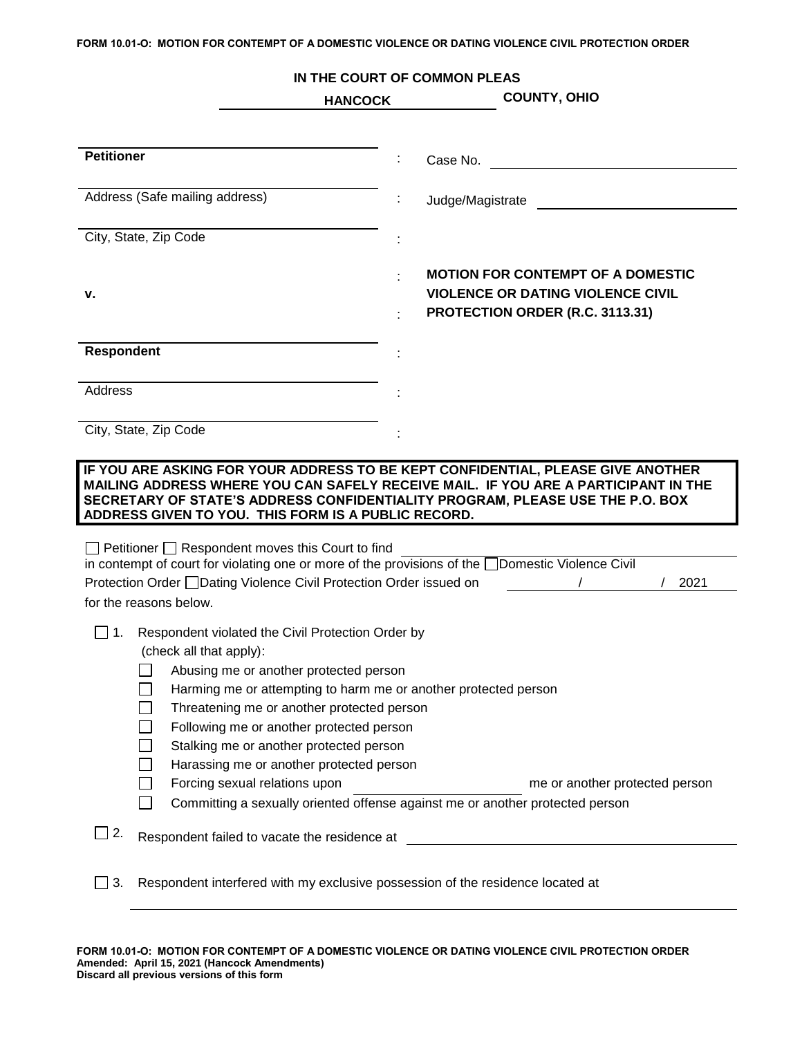## **FORM 10.01-O: MOTION FOR CONTEMPT OF A DOMESTIC VIOLENCE OR DATING VIOLENCE CIVIL PROTECTION ORDER**

## **IN THE COURT OF COMMON PLEAS HANCOCK COUNTY, OHIO Petitioner** : Case No. Address (Safe mailing address) and the United States of Magistrate and States and Turking and States and Turking and Turking and Turking and Turking and Turking and Turking and Turking and Turking and Turking and Turking a City, State, Zip Code : : **MOTION FOR CONTEMPT OF A DOMESTIC v. VIOLENCE OR DATING VIOLENCE CIVIL**  : **PROTECTION ORDER (R.C. 3113.31) Respondent** : **Address** City, State, Zip Code : **IF YOU ARE ASKING FOR YOUR ADDRESS TO BE KEPT CONFIDENTIAL, PLEASE GIVE ANOTHER MAILING ADDRESS WHERE YOU CAN SAFELY RECEIVE MAIL. IF YOU ARE A PARTICIPANT IN THE SECRETARY OF STATE'S ADDRESS CONFIDENTIALITY PROGRAM, PLEASE USE THE P.O. BOX ADDRESS GIVEN TO YOU. THIS FORM IS A PUBLIC RECORD.**  $\Box$  Petitioner  $\Box$  Respondent moves this Court to find in contempt of court for violating one or more of the provisions of the Domestic Violence Civil Protection Order **Dating Violence Civil Protection Order issued on** / / / / 2021 for the reasons below. □ 1. Respondent violated the Civil Protection Order by (check all that apply):  $\Box$ Abusing me or another protected person П. Harming me or attempting to harm me or another protected person Threatening me or another protected person  $\Box$  $\Box$ Following me or another protected person  $\Box$ Stalking me or another protected person  $\Box$ Harassing me or another protected person П. Forcing sexual relations upon me or another protected person me or another protected person Committing a sexually oriented offense against me or another protected person  $\Box$  $\Box$  2. Respondent failed to vacate the residence at  $\Box$  3. Respondent interfered with my exclusive possession of the residence located at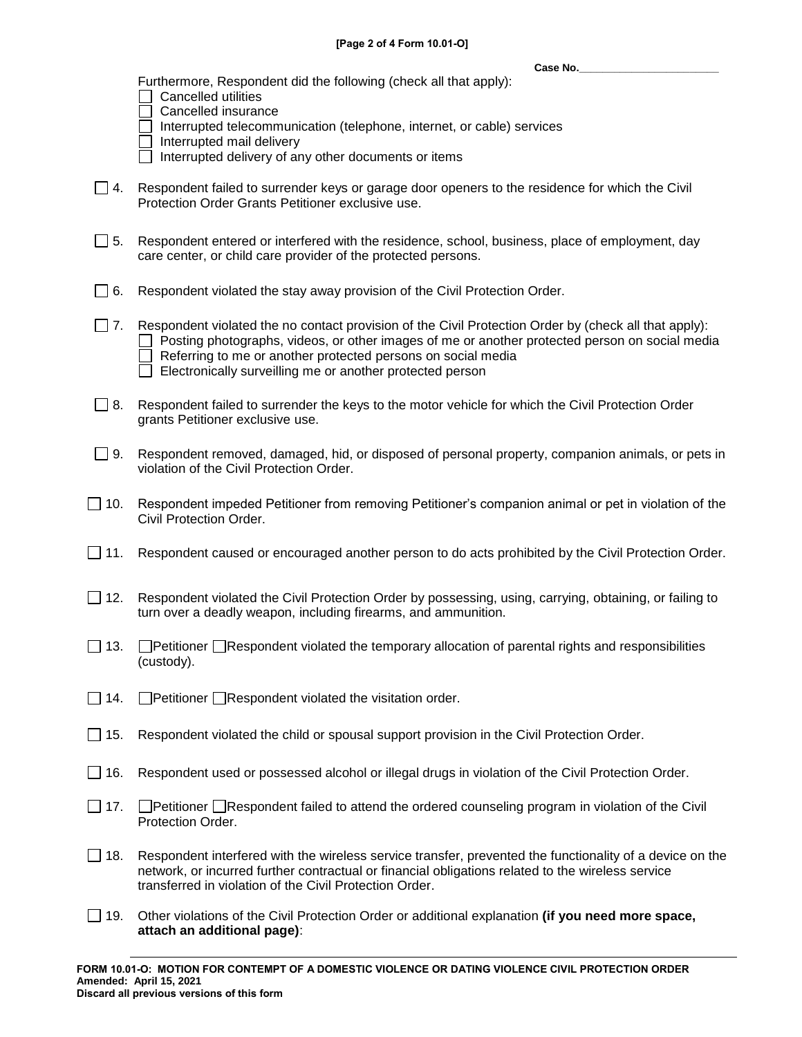**Case No.\_\_\_\_\_\_\_\_\_\_\_\_\_\_\_\_\_\_\_\_\_\_\_\_**

Furthermore, Respondent did the following (check all that apply):

- $\Box$  Cancelled utilities
- $\Box$  Cancelled insurance
- Interrupted telecommunication (telephone, internet, or cable) services
- $\Box$  Interrupted mail delivery
- $\Box$  Interrupted delivery of any other documents or items
- $\Box$  4. Respondent failed to surrender keys or garage door openers to the residence for which the Civil Protection Order Grants Petitioner exclusive use.
- □ 5. Respondent entered or interfered with the residence, school, business, place of employment, day care center, or child care provider of the protected persons.
- $\Box$  6. Respondent violated the stay away provision of the Civil Protection Order.
- $\Box$  7. Respondent violated the no contact provision of the Civil Protection Order by (check all that apply):  $\Box$  Posting photographs, videos, or other images of me or another protected person on social media Referring to me or another protected persons on social media  $\Box$  Electronically surveilling me or another protected person
- $\Box$  8. Respondent failed to surrender the keys to the motor vehicle for which the Civil Protection Order grants Petitioner exclusive use.
- $\Box$  9. Respondent removed, damaged, hid, or disposed of personal property, companion animals, or pets in violation of the Civil Protection Order.
- $\Box$  10. Respondent impeded Petitioner from removing Petitioner's companion animal or pet in violation of the Civil Protection Order.
- $\Box$  11. Respondent caused or encouraged another person to do acts prohibited by the Civil Protection Order.
- □ 12. Respondent violated the Civil Protection Order by possessing, using, carrying, obtaining, or failing to turn over a deadly weapon, including firearms, and ammunition.
- 13. Petitioner Respondent violated the temporary allocation of parental rights and responsibilities (custody).
- $\Box$  14.  $\Box$  Petitioner  $\Box$  Respondent violated the visitation order.
- $\Box$  15. Respondent violated the child or spousal support provision in the Civil Protection Order.
- 16. Respondent used or possessed alcohol or illegal drugs in violation of the Civil Protection Order.
- 17. Petitioner Respondent failed to attend the ordered counseling program in violation of the Civil Protection Order.
- $\Box$  18. Respondent interfered with the wireless service transfer, prevented the functionality of a device on the network, or incurred further contractual or financial obligations related to the wireless service transferred in violation of the Civil Protection Order.
- 19. Other violations of the Civil Protection Order or additional explanation **(if you need more space, attach an additional page)**: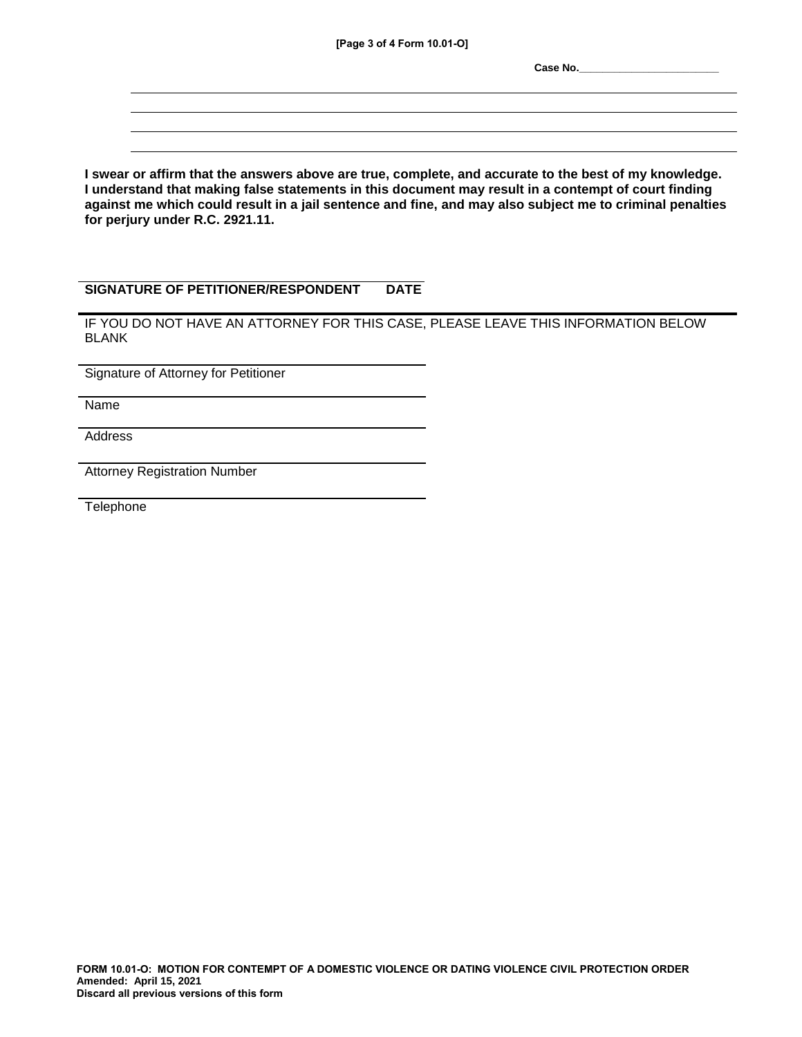**[Page 3 of 4 Form 10.01-O]**

**Case No.\_\_\_\_\_\_\_\_\_\_\_\_\_\_\_\_\_\_\_\_\_\_\_\_**

**I swear or affirm that the answers above are true, complete, and accurate to the best of my knowledge. I understand that making false statements in this document may result in a contempt of court finding against me which could result in a jail sentence and fine, and may also subject me to criminal penalties for perjury under R.C. 2921.11.**

## **SIGNATURE OF PETITIONER/RESPONDENT DATE**

IF YOU DO NOT HAVE AN ATTORNEY FOR THIS CASE, PLEASE LEAVE THIS INFORMATION BELOW BLANK

Signature of Attorney for Petitioner

Name

**Address** 

Attorney Registration Number

**Telephone**